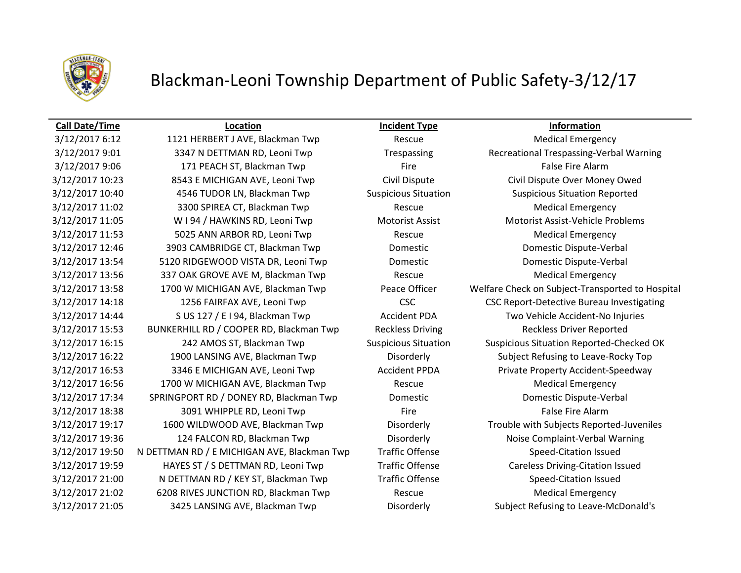

## Blackman-Leoni Township Department of Public Safety-3/12/17

3/12/2017 9:06 171 PEACH ST, Blackman Twp Fire Fire Fire False Fire Alarm 3/12/2017 10:23 8543 E MICHIGAN AVE, Leoni Twp Civil Dispute Civil Dispute Over Money Owed 3/12/2017 10:40 4546 TUDOR LN, Blackman Twp Suspicious Situation Suspicious Situation Reported 3/12/2017 11:02 3300 SPIREA CT, Blackman Twp Rescue Rescue Medical Emergency 3/12/2017 11:05 W I 94 / HAWKINS RD, Leoni Twp Motorist Assist Motorist Assist Motorist Assist-Vehicle Problems 3/12/2017 11:53 5025 ANN ARBOR RD, Leoni Twp Rescue Rescue Medical Emergency 3/12/2017 12:46 3903 CAMBRIDGE CT, Blackman Twp Domestic Domestic Dispute-Verbal 3/12/2017 13:54 5120 RIDGEWOOD VISTA DR, Leoni Twp Domestic Domestic Dispute-Verbal 3/12/2017 13:56 337 OAK GROVE AVE M, Blackman Twp Rescue Rescue Medical Emergency 3/12/2017 14:44 S US 127 / E I 94, Blackman Twp Accident PDA Two Vehicle Accident-No Injuries 3/12/2017 15:53 BUNKERHILL RD / COOPER RD, Blackman Twp Reckless Driving Reckless Driver Reported 3/12/2017 16:22 1900 LANSING AVE, Blackman Twp Disorderly Subject Refusing to Leave-Rocky Top 3/12/2017 16:53 3346 E MICHIGAN AVE, Leoni Twp Accident PPDA Private Property Accident-Speedway 3/12/2017 16:56 1700 W MICHIGAN AVE, Blackman Twp Rescue Rescue Medical Emergency 3/12/2017 17:34 SPRINGPORT RD / DONEY RD, Blackman Twp Domestic Domestic Dispute-Verbal 3/12/2017 18:38 3091 WHIPPLE RD, Leoni Twp Fire Fire Fire False Fire Alarm 3/12/2017 19:36 124 FALCON RD, Blackman Twp Disorderly Noise Complaint-Verbal Warning 3/12/2017 19:50 N DETTMAN RD / E MICHIGAN AVE, Blackman Twp Traffic Offense Speed-Citation Issued 3/12/2017 19:59 HAYES ST / S DETTMAN RD, Leoni Twp Traffic Offense Careless Driving-Citation Issued 3/12/2017 21:00 N DETTMAN RD / KEY ST, Blackman Twp Traffic Offense Speed-Citation Issued 3/12/2017 21:02 6208 RIVES JUNCTION RD, Blackman Twp Rescue Rescue Medical Emergency

**Call Date/Time Location Incident Type Information**

3/12/2017 6:12 1121 HERBERT J AVE, Blackman Twp Rescue Medical Emergency 3/12/2017 9:01 3347 N DETTMAN RD, Leoni Twp Trespassing Recreational Trespassing-Verbal Warning 3/12/2017 13:58 1700 W MICHIGAN AVE, Blackman Twp Peace Officer Welfare Check on Subject-Transported to Hospital 3/12/2017 14:18 1256 FAIRFAX AVE, Leoni Twp CSC CSC CSC CSC Report-Detective Bureau Investigating 3/12/2017 16:15 242 AMOS ST, Blackman Twp Suspicious Situation Suspicious Situation Reported-Checked OK 3/12/2017 19:17 1600 WILDWOOD AVE, Blackman Twp Disorderly Trouble with Subjects Reported-Juveniles 3/12/2017 21:05 3425 LANSING AVE, Blackman Twp Disorderly Subject Refusing to Leave-McDonald's